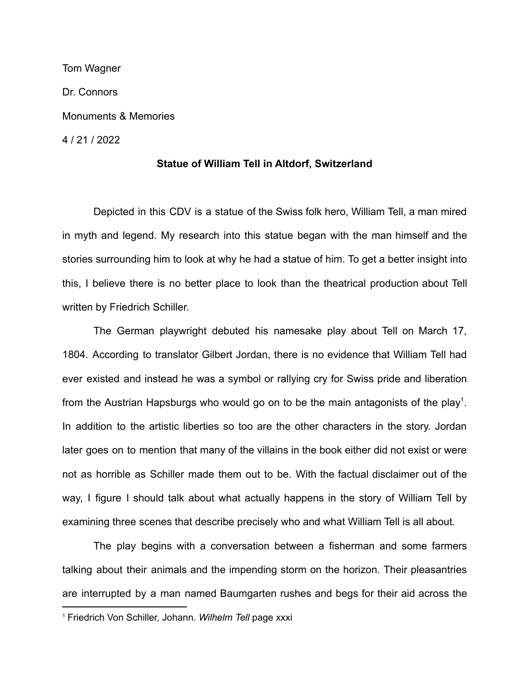Tom Wagner Dr. Connors Monuments & Memories 4 / 21 / 2022

## **Statue of William Tell in Altdorf, Switzerland**

Depicted in this CDV is a statue of the Swiss folk hero, William Tell, a man mired in myth and legend. My research into this statue began with the man himself and the stories surrounding him to look at why he had a statue of him. To get a better insight into this, I believe there is no better place to look than the theatrical production about Tell written by Friedrich Schiller.

The German playwright debuted his namesake play about Tell on March 17, 1804. According to translator Gilbert Jordan, there is no evidence that William Tell had ever existed and instead he was a symbol or rallying cry for Swiss pride and liberation from the Austrian Hapsburgs who would go on to be the main antagonists of the play<sup>1</sup>. In addition to the artistic liberties so too are the other characters in the story. Jordan later goes on to mention that many of the villains in the book either did not exist or were not as horrible as Schiller made them out to be. With the factual disclaimer out of the way, I figure I should talk about what actually happens in the story of William Tell by examining three scenes that describe precisely who and what William Tell is all about.

The play begins with a conversation between a fisherman and some farmers talking about their animals and the impending storm on the horizon. Their pleasantries are interrupted by a man named Baumgarten rushes and begs for their aid across the

<sup>1</sup> Friedrich Von Schiller, Johann. *Wilhelm Tell* page xxxi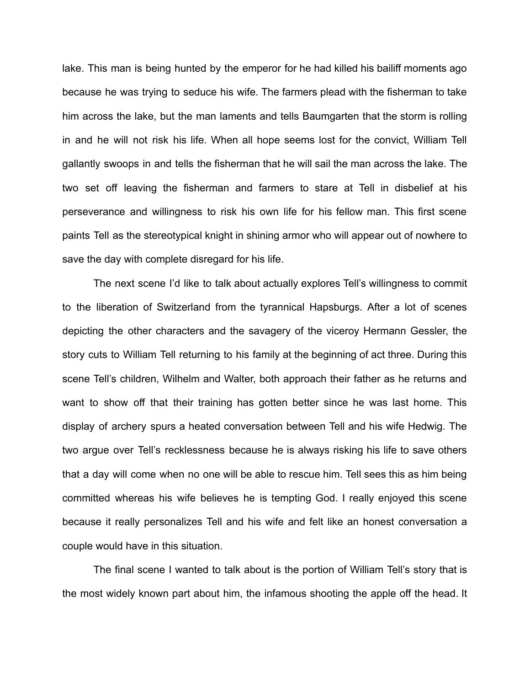lake. This man is being hunted by the emperor for he had killed his bailiff moments ago because he was trying to seduce his wife. The farmers plead with the fisherman to take him across the lake, but the man laments and tells Baumgarten that the storm is rolling in and he will not risk his life. When all hope seems lost for the convict, William Tell gallantly swoops in and tells the fisherman that he will sail the man across the lake. The two set off leaving the fisherman and farmers to stare at Tell in disbelief at his perseverance and willingness to risk his own life for his fellow man. This first scene paints Tell as the stereotypical knight in shining armor who will appear out of nowhere to save the day with complete disregard for his life.

The next scene I'd like to talk about actually explores Tell's willingness to commit to the liberation of Switzerland from the tyrannical Hapsburgs. After a lot of scenes depicting the other characters and the savagery of the viceroy Hermann Gessler, the story cuts to William Tell returning to his family at the beginning of act three. During this scene Tell's children, Wilhelm and Walter, both approach their father as he returns and want to show off that their training has gotten better since he was last home. This display of archery spurs a heated conversation between Tell and his wife Hedwig. The two argue over Tell's recklessness because he is always risking his life to save others that a day will come when no one will be able to rescue him. Tell sees this as him being committed whereas his wife believes he is tempting God. I really enjoyed this scene because it really personalizes Tell and his wife and felt like an honest conversation a couple would have in this situation.

The final scene I wanted to talk about is the portion of William Tell's story that is the most widely known part about him, the infamous shooting the apple off the head. It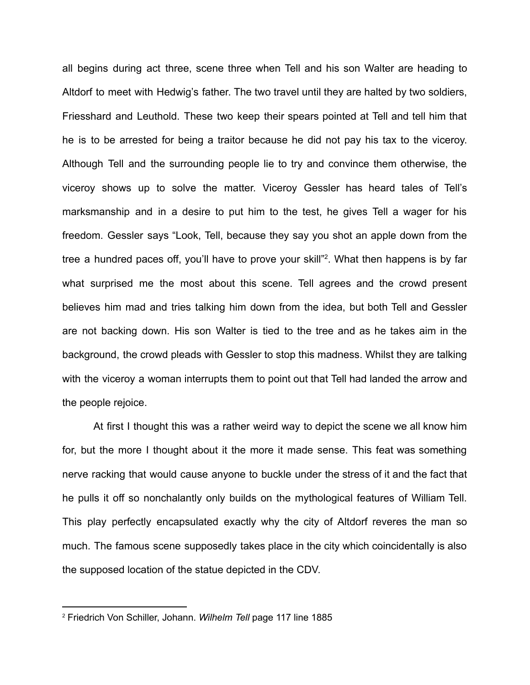all begins during act three, scene three when Tell and his son Walter are heading to Altdorf to meet with Hedwig's father. The two travel until they are halted by two soldiers, Friesshard and Leuthold. These two keep their spears pointed at Tell and tell him that he is to be arrested for being a traitor because he did not pay his tax to the viceroy. Although Tell and the surrounding people lie to try and convince them otherwise, the viceroy shows up to solve the matter. Viceroy Gessler has heard tales of Tell's marksmanship and in a desire to put him to the test, he gives Tell a wager for his freedom. Gessler says "Look, Tell, because they say you shot an apple down from the tree a hundred paces off, you'll have to prove your skill"<sup>2</sup>. What then happens is by far what surprised me the most about this scene. Tell agrees and the crowd present believes him mad and tries talking him down from the idea, but both Tell and Gessler are not backing down. His son Walter is tied to the tree and as he takes aim in the background, the crowd pleads with Gessler to stop this madness. Whilst they are talking with the viceroy a woman interrupts them to point out that Tell had landed the arrow and the people rejoice.

At first I thought this was a rather weird way to depict the scene we all know him for, but the more I thought about it the more it made sense. This feat was something nerve racking that would cause anyone to buckle under the stress of it and the fact that he pulls it off so nonchalantly only builds on the mythological features of William Tell. This play perfectly encapsulated exactly why the city of Altdorf reveres the man so much. The famous scene supposedly takes place in the city which coincidentally is also the supposed location of the statue depicted in the CDV.

<sup>2</sup> Friedrich Von Schiller, Johann. *Wilhelm Tell* page 117 line 1885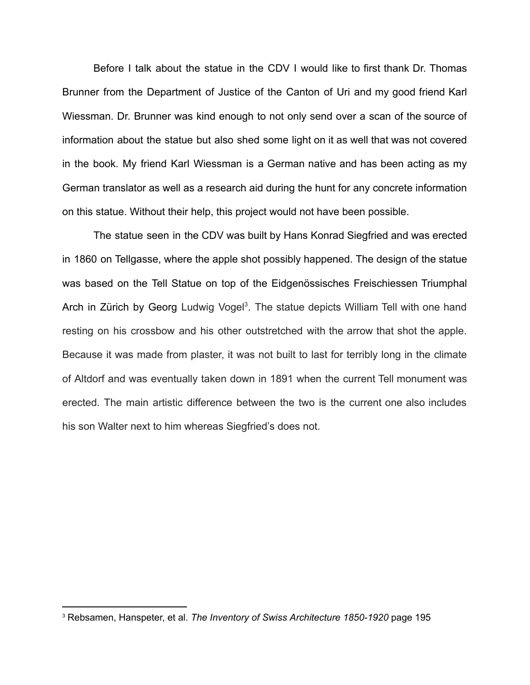Before I talk about the statue in the CDV I would like to first thank Dr. Thomas Brunner from the Department of Justice of the Canton of Uri and my good friend Karl Wiessman. Dr. Brunner was kind enough to not only send over a scan of the source of information about the statue but also shed some light on it as well that was not covered in the book. My friend Karl Wiessman is a German native and has been acting as my German translator as well as a research aid during the hunt for any concrete information on this statue. Without their help, this project would not have been possible.

The statue seen in the CDV was built by Hans Konrad Siegfried and was erected in 1860 on Tellgasse, where the apple shot possibly happened. The design of the statue was based on the Tell Statue on top of the Eidgenössisches Freischiessen Triumphal Arch in Zürich by Georg Ludwig Vogel<sup>3</sup>. The statue depicts William Tell with one hand resting on his crossbow and his other outstretched with the arrow that shot the apple. Because it was made from plaster, it was not built to last for terribly long in the climate of Altdorf and was eventually taken down in 1891 when the current Tell monument was erected. The main artistic difference between the two is the current one also includes his son Walter next to him whereas Siegfried's does not.

<sup>3</sup> Rebsamen, Hanspeter, et al. *The Inventory of Swiss Architecture 1850-1920* page 195